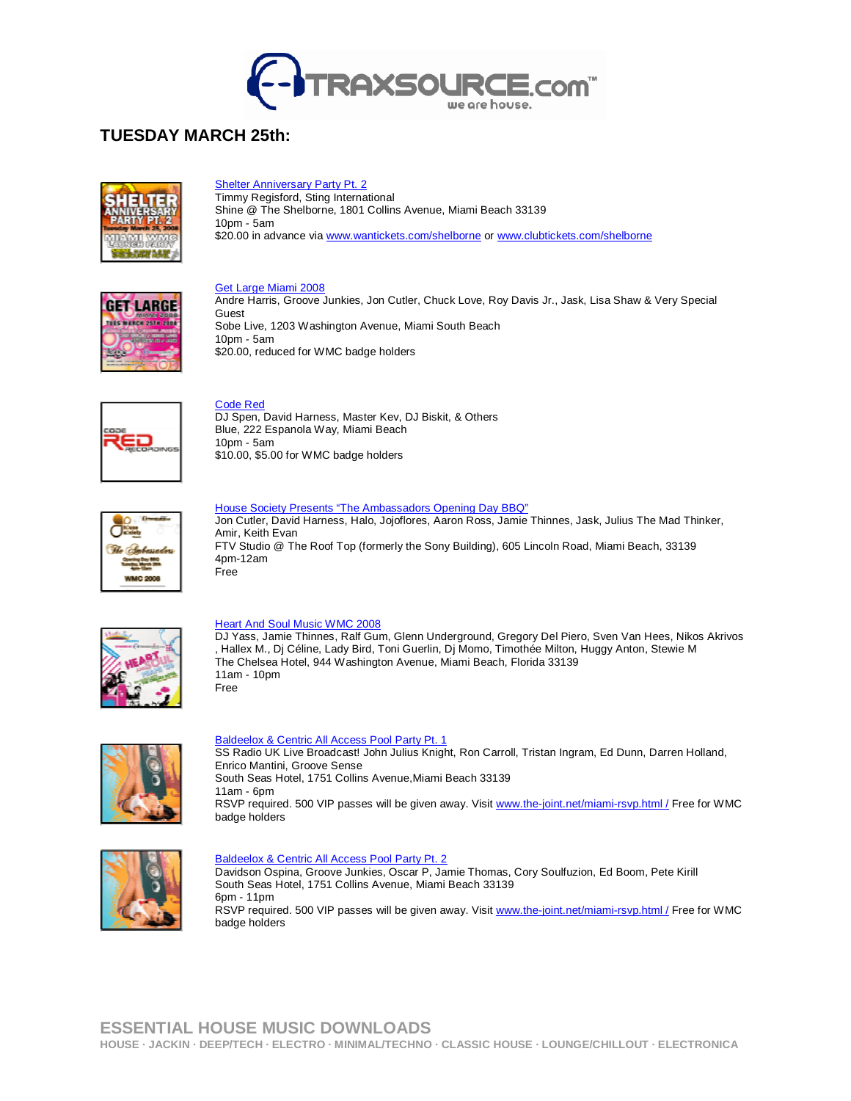

# **TUESDAY MARCH 25th:**



# **Shelter Anniversary Party Pt. 2**

**Timmy Regisford, Sting International** Shine @ The Shelborne, 1801 Collins Avenue, Miami Beach 33139 10pm - 5am \$20.00 in advance via www.wantickets.com/shelborne or www.clubtickets.com/shelborne

### Get Large Miami 2008



Andre Harris, Groove Junkies, Jon Cutler, Chuck Love, Roy Davis Jr., Jask, Lisa Shaw & Very Special Guest Sobe Live, 1203 Washington Avenue, Miami South Beach 10pm - 5am \$20.00, reduced for WMC badge holders



Code Red DJ Spen, David Harness, Master Kev, DJ Biskit, & Others Blue, 222 Espanola Way, Miami Beach

10pm - 5am \$10.00, \$5.00 for WMC badge holders

| <b>WIMC 2008</b> |
|------------------|
|                  |

House Society Presents "The Ambassadors Opening Day BBQ"

Jon Cutler, David Harness, Halo, Jojoflores, Aaron Ross, Jamie Thinnes, Jask, Julius The Mad Thinker, Amir, Keith Evan FTV Studio @ The Roof Top (formerly the Sony Building), 605 Lincoln Road, Miami Beach, 33139 4pm-12am Free



## Heart And Soul Music WMC 2008

DJ Yass, Jamie Thinnes, Ralf Gum, Glenn Underground, Gregory Del Piero, Sven Van Hees, Nikos Akrivos , Hallex M., Dj Céline, Lady Bird, Toni Guerlin, Dj Momo, Timothée Milton, Huggy Anton, Stewie M The Chelsea Hotel, 944 Washington Avenue, Miami Beach, Florida 33139 11am - 10pm Free



## Baldeelox & Centric All Access Pool Party Pt. 1

SS Radio UK Live Broadcast! John Julius Knight, Ron Carroll, Tristan Ingram, Ed Dunn, Darren Holland, Enrico Mantini, Groove Sense South Seas Hotel, 1751 Collins Avenue,Miami Beach 33139 11am - 6pm RSVP required. 500 VIP passes will be given away. Visit www.the-joint.net/miami-rsvp.html / Free for WMC badge holders



#### Baldeelox & Centric All Access Pool Party Pt. 2

Davidson Ospina, Groove Junkies, Oscar P, Jamie Thomas, Cory Soulfuzion, Ed Boom, Pete Kirill South Seas Hotel, 1751 Collins Avenue, Miami Beach 33139 6pm - 11pm RSVP required. 500 VIP passes will be given away. Visit www.the-joint.net/miami-rsvp.html / Free for WMC badge holders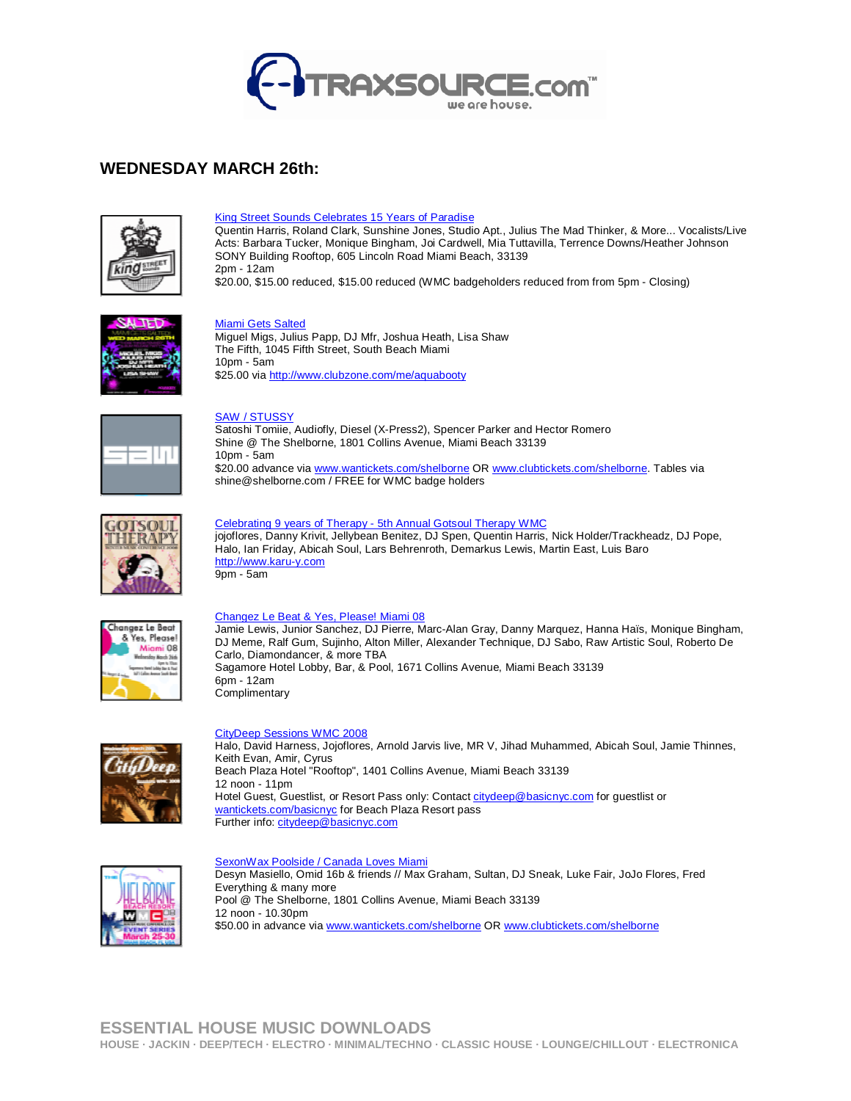

# **WEDNESDAY MARCH 26th:**



### King Street Sounds Celebrates 15 Years of Paradise

Quentin Harris, Roland Clark, Sunshine Jones, Studio Apt., Julius The Mad Thinker, & More... Vocalists/Live Acts: Barbara Tucker, Monique Bingham, Joi Cardwell, Mia Tuttavilla, Terrence Downs/Heather Johnson SONY Building Rooftop, 605 Lincoln Road Miami Beach, 33139 2pm - 12am \$20.00, \$15.00 reduced, \$15.00 reduced (WMC badgeholders reduced from from 5pm - Closing)



### Miami Gets Salted

Miguel Migs, Julius Papp, DJ Mfr, Joshua Heath, Lisa Shaw The Fifth, 1045 Fifth Street, South Beach Miami 10pm - 5am \$25.00 via http://www.clubzone.com/me/aquabooty



#### SAW / STUSSY

Satoshi Tomiie, Audiofly, Diesel (X-Press2), Spencer Parker and Hector Romero Shine @ The Shelborne, 1801 Collins Avenue, Miami Beach 33139 10pm - 5am \$20.00 advance via www.wantickets.com/shelborne OR www.clubtickets.com/shelborne. Tables via shine@shelborne.com / FREE for WMC badge holders



# Celebrating 9 years of Therapy - 5th Annual Gotsoul Therapy WMC

jojoflores, Danny Krivit, Jellybean Benitez, DJ Spen, Quentin Harris, Nick Holder/Trackheadz, DJ Pope, Halo, Ian Friday, Abicah Soul, Lars Behrenroth, Demarkus Lewis, Martin East, Luis Baro http://www.karu-y.com 9pm - 5am



#### Changez Le Beat & Yes, Please! Miami 08

Jamie Lewis, Junior Sanchez, DJ Pierre, Marc-Alan Gray, Danny Marquez, Hanna Haïs, Monique Bingham, DJ Meme, Ralf Gum, Sujinho, Alton Miller, Alexander Technique, DJ Sabo, Raw Artistic Soul, Roberto De Carlo, Diamondancer, & more TBA Sagamore Hotel Lobby, Bar, & Pool, 1671 Collins Avenue, Miami Beach 33139 6pm - 12am **Complimentary** 



## CityDeep Sessions WMC 2008

Halo, David Harness, Jojoflores, Arnold Jarvis live, MR V, Jihad Muhammed, Abicah Soul, Jamie Thinnes, Keith Evan, Amir, Cyrus Beach Plaza Hotel "Rooftop", 1401 Collins Avenue, Miami Beach 33139 12 noon - 11pm Hotel Guest, Guestlist, or Resort Pass only: Contact citydeep@basicnyc.com for guestlist or wantickets.com/basicnyc for Beach Plaza Resort pass Further info: citydeep@basicnyc.com



#### SexonWax Poolside / Canada Loves Miami Desyn Masiello, Omid 16b & friends // Max Graham, Sultan, DJ Sneak, Luke Fair, JoJo Flores, Fred Everything & many more Pool @ The Shelborne, 1801 Collins Avenue, Miami Beach 33139 12 noon - 10.30pm \$50.00 in advance via www.wantickets.com/shelborne OR www.clubtickets.com/shelborne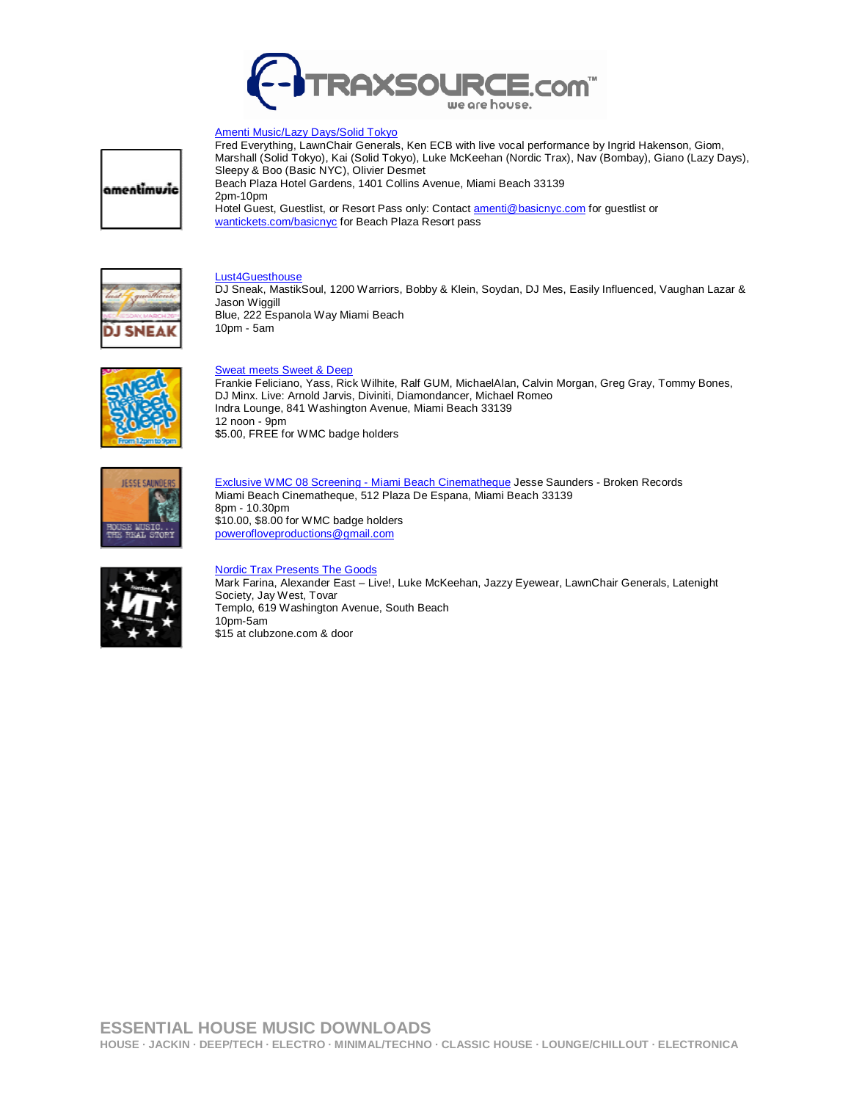

## Amenti Music/Lazy Days/Solid Tokyo

|amentimusic

Fred Everything, LawnChair Generals, Ken ECB with live vocal performance by Ingrid Hakenson, Giom, Marshall (Solid Tokyo), Kai (Solid Tokyo), Luke McKeehan (Nordic Trax), Nav (Bombay), Giano (Lazy Days), Sleepy & Boo (Basic NYC), Olivier Desmet Beach Plaza Hotel Gardens, 1401 Collins Avenue, Miami Beach 33139 2pm-10pm Hotel Guest, Guestlist, or Resort Pass only: Contact amenti@basicnyc.com for guestlist or wantickets.com/basicnyc for Beach Plaza Resort pass

## Lust4Guesthouse

DJ Sneak, MastikSoul, 1200 Warriors, Bobby & Klein, Soydan, DJ Mes, Easily Influenced, Vaughan Lazar & Jason Wiggill Blue, 222 Espanola Way Miami Beach 10pm - 5am



## Sweat meets Sweet & Deep

Frankie Feliciano, Yass, Rick Wilhite, Ralf GUM, MichaelAlan, Calvin Morgan, Greg Gray, Tommy Bones, DJ Minx. Live: Arnold Jarvis, Diviniti, Diamondancer, Michael Romeo Indra Lounge, 841 Washington Avenue, Miami Beach 33139 12 noon - 9pm \$5.00, FREE for WMC badge holders



Exclusive WMC 08 Screening - Miami Beach Cinematheque Jesse Saunders - Broken Records Miami Beach Cinematheque, 512 Plaza De Espana, Miami Beach 33139 8pm - 10.30pm \$10.00, \$8.00 for WMC badge holders powerofloveproductions@gmail.com



# Nordic Trax Presents The Goods

Mark Farina, Alexander East – Live!, Luke McKeehan, Jazzy Eyewear, LawnChair Generals, Latenight Society, Jay West, Tovar Templo, 619 Washington Avenue, South Beach 10pm-5am \$15 at clubzone.com & door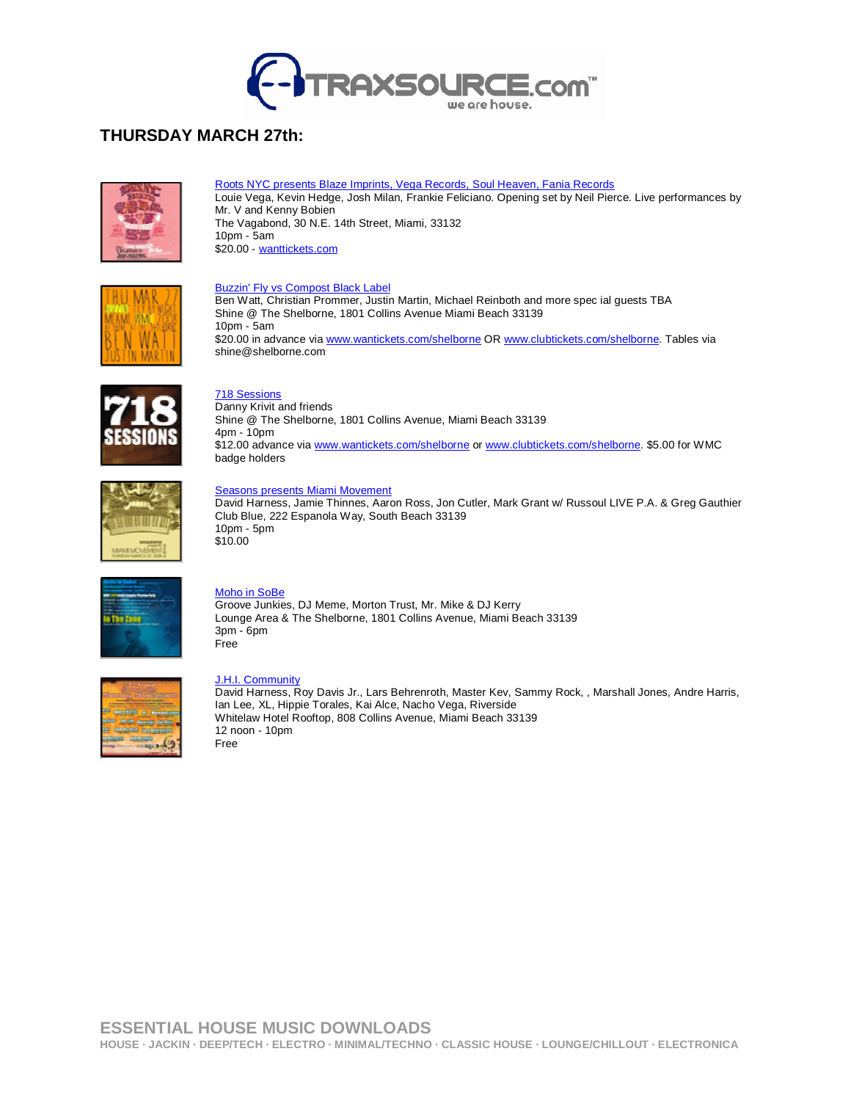

# **THURSDAY MARCH 27th:**



Roots NYC presents Blaze Imprints, Vega Records, Soul Heaven, Fania Records Louie Vega, Kevin Hedge, Josh Milan, Frankie Feliciano. Opening set by Neil Pierce. Live performances by Mr. V and Kenny Bobien The Vagabond, 30 N.E. 14th Street, Miami, 33132 10pm - 5am \$20.00 - wanttickets.com

### **Buzzin' Fly vs Compost Black Label**

Ben Watt, Christian Prommer, Justin Martin, Michael Reinboth and more spec ial guests TBA Shine @ The Shelborne, 1801 Collins Avenue Miami Beach 33139 10pm - 5am \$20.00 in advance via www.wantickets.com/shelborne OR www.clubtickets.com/shelborne. Tables via shine@shelborne.com



# 718 Sessions

Danny Krivit and friends Shine @ The Shelborne, 1801 Collins Avenue, Miami Beach 33139 4pm - 10pm \$12.00 advance via www.wantickets.com/shelborne or www.clubtickets.com/shelborne. \$5.00 for WMC badge holders



## **Seasons presents Miami Movement**

David Harness, Jamie Thinnes, Aaron Ross, Jon Cutler, Mark Grant w/ Russoul LIVE P.A. & Greg Gauthier Club Blue, 222 Espanola Way, South Beach 33139 10pm - 5pm \$10.00



## Moho in SoBe

Groove Junkies, DJ Meme, Morton Trust, Mr. Mike & DJ Kerry Lounge Area & The Shelborne, 1801 Collins Avenue, Miami Beach 33139 3pm - 6pm Free



### J.H.I. Community

David Harness, Roy Davis Jr., Lars Behrenroth, Master Kev, Sammy Rock, , Marshall Jones, Andre Harris, Ian Lee, XL, Hippie Torales, Kai Alce, Nacho Vega, Riverside Whitelaw Hotel Rooftop, 808 Collins Avenue, Miami Beach 33139 12 noon - 10pm Free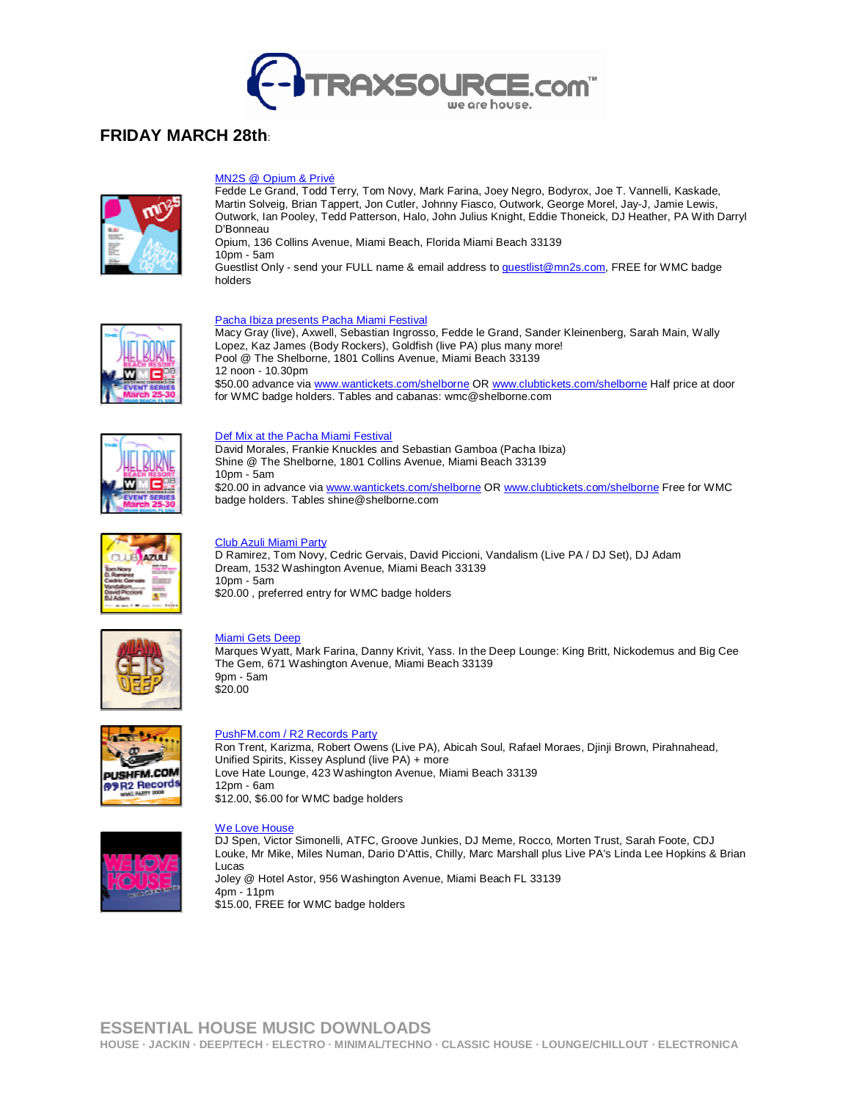

# **FRIDAY MARCH 28th**:



#### MN2S @ Opium & Privé

Fedde Le Grand, Todd Terry, Tom Novy, Mark Farina, Joey Negro, Bodyrox, Joe T. Vannelli, Kaskade, Martin Solveig, Brian Tappert, Jon Cutler, Johnny Fiasco, Outwork, George Morel, Jay-J, Jamie Lewis, Outwork, Ian Pooley, Tedd Patterson, Halo, John Julius Knight, Eddie Thoneick, DJ Heather, PA With Darryl D'Bonneau

Opium, 136 Collins Avenue, Miami Beach, Florida Miami Beach 33139 10pm - 5am

Guestlist Only - send your FULL name & email address to guestlist@mn2s.com, FREE for WMC badge holders



## Pacha Ibiza presents Pacha Miami Festival

Macy Gray (live), Axwell, Sebastian Ingrosso, Fedde le Grand, Sander Kleinenberg, Sarah Main, Wally Lopez, Kaz James (Body Rockers), Goldfish (live PA) plus many more! Pool @ The Shelborne, 1801 Collins Avenue, Miami Beach 33139 12 noon - 10.30pm \$50.00 advance via www.wantickets.com/shelborne OR www.clubtickets.com/shelborne Half price at door for WMC badge holders. Tables and cabanas: wmc@shelborne.com



#### Def Mix at the Pacha Miami Festival

David Morales, Frankie Knuckles and Sebastian Gamboa (Pacha Ibiza) Shine @ The Shelborne, 1801 Collins Avenue, Miami Beach 33139 10pm - 5am \$20.00 in advance via www.wantickets.com/shelborne OR www.clubtickets.com/shelborne Free for WMC badge holders. Tables shine@shelborne.com



## Club Azuli Miami Party

D Ramirez, Tom Novy, Cedric Gervais, David Piccioni, Vandalism (Live PA / DJ Set), DJ Adam Dream, 1532 Washington Avenue, Miami Beach 33139 10pm - 5am \$20.00, preferred entry for WMC badge holders



#### Miami Gets Deep

Marques Wyatt, Mark Farina, Danny Krivit, Yass. In the Deep Lounge: King Britt, Nickodemus and Big Cee The Gem, 671 Washington Avenue, Miami Beach 33139 9pm - 5am \$20.00



### PushFM.com / R2 Records Party

Ron Trent, Karizma, Robert Owens (Live PA), Abicah Soul, Rafael Moraes, Djinji Brown, Pirahnahead, Unified Spirits, Kissey Asplund (live PA) + more Love Hate Lounge, 423 Washington Avenue, Miami Beach 33139 12pm - 6am \$12.00, \$6.00 for WMC badge holders



## We Love House

DJ Spen, Victor Simonelli, ATFC, Groove Junkies, DJ Meme, Rocco, Morten Trust, Sarah Foote, CDJ Louke, Mr Mike, Miles Numan, Dario D'Attis, Chilly, Marc Marshall plus Live PA's Linda Lee Hopkins & Brian Lucas Joley @ Hotel Astor, 956 Washington Avenue, Miami Beach FL 33139 4pm - 11pm \$15.00, FREE for WMC badge holders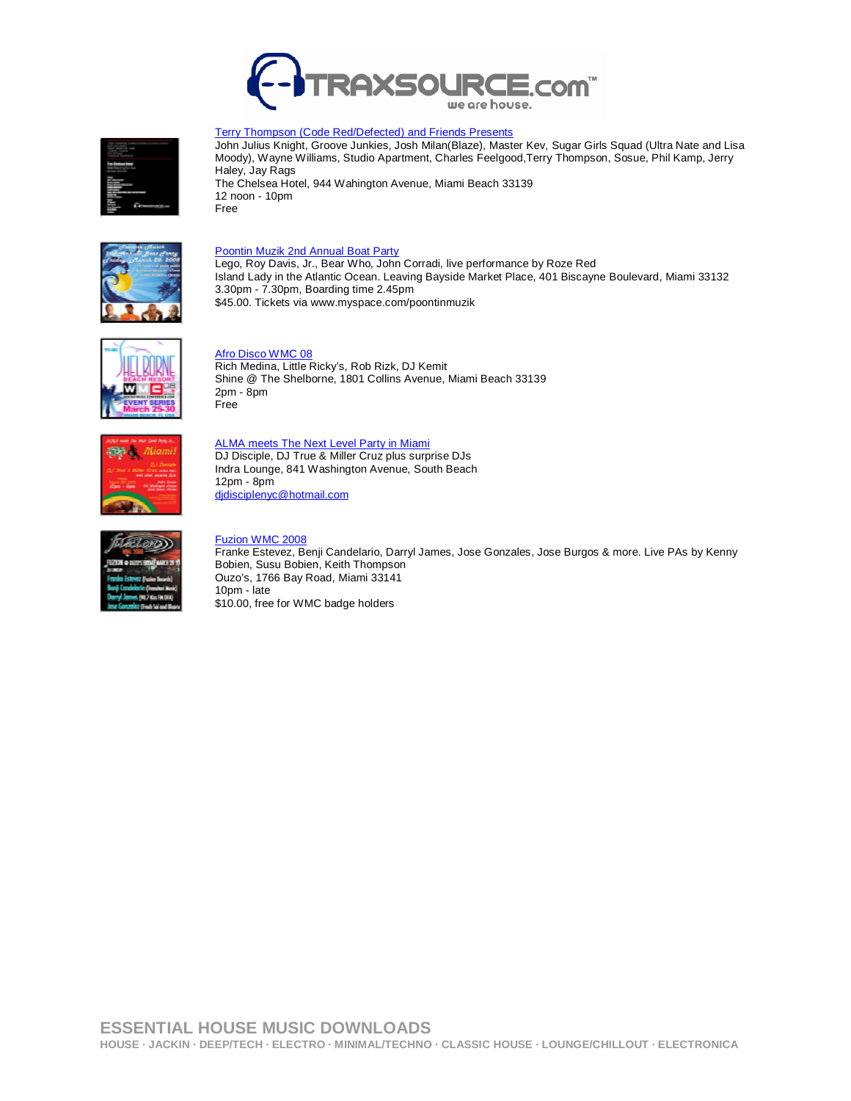

#### Terry Thompson (Code Red/Defected) and Friends Presents

John Julius Knight, Groove Junkies, Josh Milan(Blaze), Master Kev, Sugar Girls Squad (Ultra Nate and Lisa Moody), Wayne Williams, Studio Apartment, Charles Feelgood,Terry Thompson, Sosue, Phil Kamp, Jerry Haley, Jay Rags The Chelsea Hotel, 944 Wahington Avenue, Miami Beach 33139 12 noon - 10pm

Free



## Poontin Muzik 2nd Annual Boat Party

Lego, Roy Davis, Jr., Bear Who, John Corradi, live performance by Roze Red Island Lady in the Atlantic Ocean. Leaving Bayside Market Place, 401 Biscayne Boulevard, Miami 33132 3.30pm - 7.30pm, Boarding time 2.45pm \$45.00. Tickets via www.myspace.com/poontinmuzik



## Afro Disco WMC 08

Rich Medina, Little Ricky's, Rob Rizk, DJ Kemit Shine @ The Shelborne, 1801 Collins Avenue, Miami Beach 33139 2pm - 8pm Free



ALMA meets The Next Level Party in Miami DJ Disciple, DJ True & Miller Cruz plus surprise DJs Indra Lounge, 841 Washington Avenue, South Beach 12pm - 8pm didisciplenyc@hotmail.com



#### Fuzion WMC 2008

Franke Estevez, Benji Candelario, Darryl James, Jose Gonzales, Jose Burgos & more. Live PAs by Kenny Bobien, Susu Bobien, Keith Thompson Ouzo's, 1766 Bay Road, Miami 33141 10pm - late \$10.00, free for WMC badge holders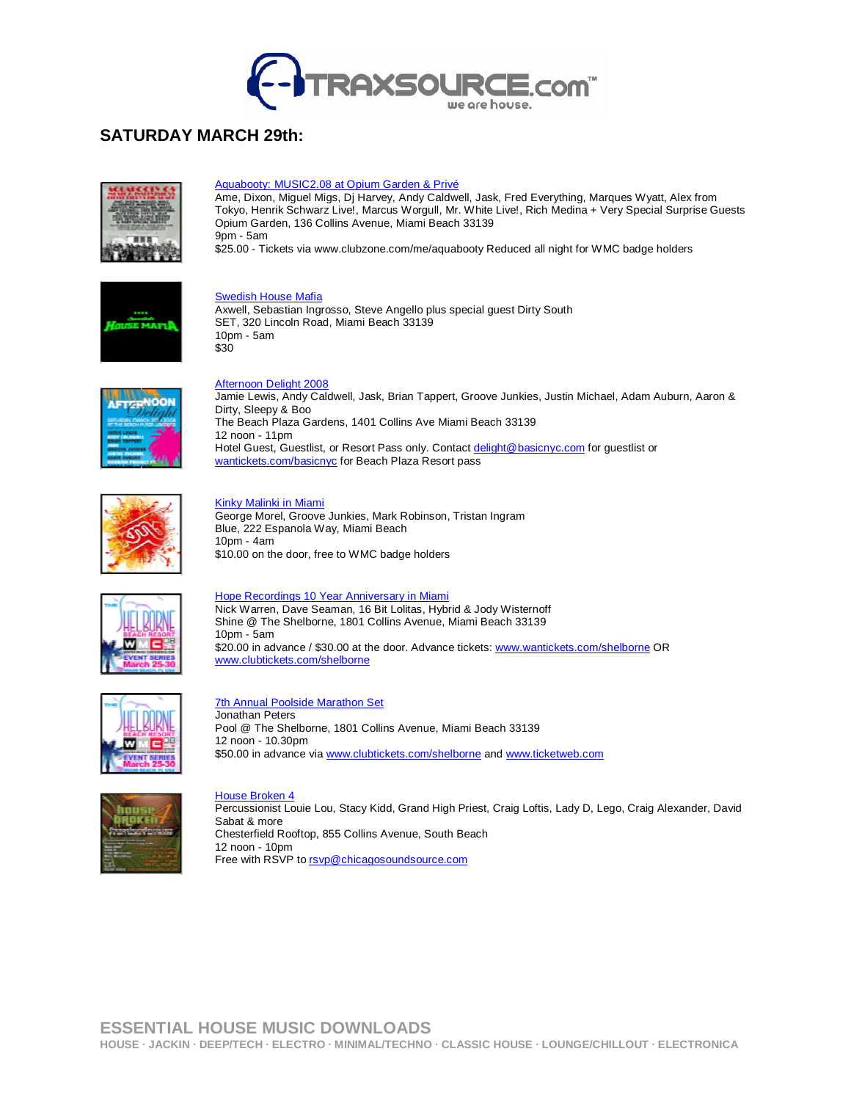

# **SATURDAY MARCH 29th:**



# Aquabooty: MUSIC2.08 at Opium Garden & Privé

Ame, Dixon, Miguel Migs, Dj Harvey, Andy Caldwell, Jask, Fred Everything, Marques Wyatt, Alex from Tokyo, Henrik Schwarz Live!, Marcus Worgull, Mr. White Live!, Rich Medina + Very Special Surprise Guests Opium Garden, 136 Collins Avenue, Miami Beach 33139  $9$ pm - 5am

\$25.00 - Tickets via www.clubzone.com/me/aquabooty Reduced all night for WMC badge holders



**Swedish House Mafia** Axwell, Sebastian Ingrosso, Steve Angello plus special guest Dirty South SET, 320 Lincoln Road, Miami Beach 33139 10pm - 5am \$30



#### Afternoon Delight 2008

Jamie Lewis, Andy Caldwell, Jask, Brian Tappert, Groove Junkies, Justin Michael, Adam Auburn, Aaron & Dirty, Sleepy & Boo The Beach Plaza Gardens, 1401 Collins Ave Miami Beach 33139 12 noon - 11pm Hotel Guest, Guestlist, or Resort Pass only. Contact delight@basicnyc.com for guestlist or wantickets.com/basicnyc for Beach Plaza Resort pass



#### Kinky Malinki in Miami

George Morel, Groove Junkies, Mark Robinson, Tristan Ingram Blue, 222 Espanola Way, Miami Beach 10pm - 4am \$10.00 on the door, free to WMC badge holders



## Hope Recordings 10 Year Anniversary in Miami

Nick Warren, Dave Seaman, 16 Bit Lolitas, Hybrid & Jody Wisternoff Shine @ The Shelborne, 1801 Collins Avenue, Miami Beach 33139 10pm - 5am \$20.00 in advance / \$30.00 at the door. Advance tickets: www.wantickets.com/shelborne OR www.clubtickets.com/shelborne



7th Annual Poolside Marathon Set Jonathan Peters Pool @ The Shelborne, 1801 Collins Avenue, Miami Beach 33139 12 noon - 10.30pm \$50.00 in advance via www.clubtickets.com/shelborne and www.ticketweb.com



House Broken 4 Percussionist Louie Lou, Stacy Kidd, Grand High Priest, Craig Loftis, Lady D, Lego, Craig Alexander, David Sabat & more Chesterfield Rooftop, 855 Collins Avenue, South Beach 12 noon - 10pm Free with RSVP to rsvp@chicagosoundsource.com